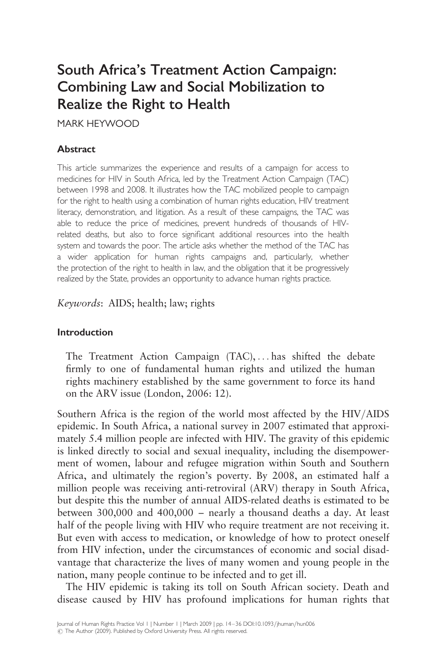# South Africa's Treatment Action Campaign: Combining Law and Social Mobilization to Realize the Right to Health

MARK HEYWOOD

## **Abstract**

This article summarizes the experience and results of a campaign for access to medicines for HIV in South Africa, led by the Treatment Action Campaign (TAC) between 1998 and 2008. It illustrates how the TAC mobilized people to campaign for the right to health using a combination of human rights education, HIV treatment literacy, demonstration, and litigation. As a result of these campaigns, the TAC was able to reduce the price of medicines, prevent hundreds of thousands of HIVrelated deaths, but also to force significant additional resources into the health system and towards the poor. The article asks whether the method of the TAC has a wider application for human rights campaigns and, particularly, whether the protection of the right to health in law, and the obligation that it be progressively realized by the State, provides an opportunity to advance human rights practice.

Keywords: AIDS; health; law; rights

## Introduction

The Treatment Action Campaign (TAC), ... has shifted the debate firmly to one of fundamental human rights and utilized the human rights machinery established by the same government to force its hand on the ARV issue (London, 2006: 12).

Southern Africa is the region of the world most affected by the HIV/AIDS epidemic. In South Africa, a national survey in 2007 estimated that approximately 5.4 million people are infected with HIV. The gravity of this epidemic is linked directly to social and sexual inequality, including the disempowerment of women, labour and refugee migration within South and Southern Africa, and ultimately the region's poverty. By 2008, an estimated half a million people was receiving anti-retroviral (ARV) therapy in South Africa, but despite this the number of annual AIDS-related deaths is estimated to be between 300,000 and 400,000 – nearly a thousand deaths a day. At least half of the people living with HIV who require treatment are not receiving it. But even with access to medication, or knowledge of how to protect oneself from HIV infection, under the circumstances of economic and social disadvantage that characterize the lives of many women and young people in the nation, many people continue to be infected and to get ill.

The HIV epidemic is taking its toll on South African society. Death and disease caused by HIV has profound implications for human rights that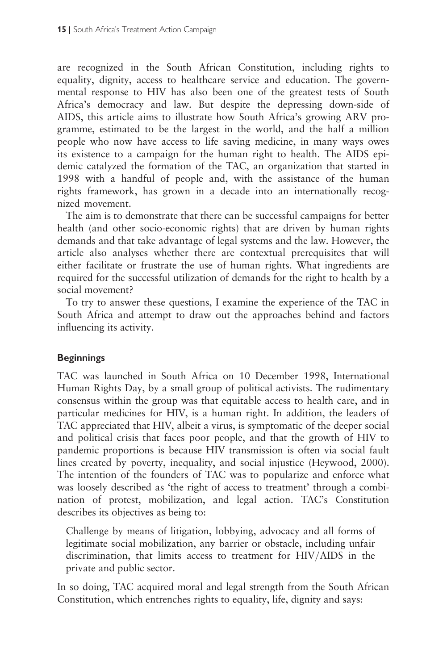are recognized in the South African Constitution, including rights to equality, dignity, access to healthcare service and education. The governmental response to HIV has also been one of the greatest tests of South Africa's democracy and law. But despite the depressing down-side of AIDS, this article aims to illustrate how South Africa's growing ARV programme, estimated to be the largest in the world, and the half a million people who now have access to life saving medicine, in many ways owes its existence to a campaign for the human right to health. The AIDS epidemic catalyzed the formation of the TAC, an organization that started in 1998 with a handful of people and, with the assistance of the human rights framework, has grown in a decade into an internationally recognized movement.

The aim is to demonstrate that there can be successful campaigns for better health (and other socio-economic rights) that are driven by human rights demands and that take advantage of legal systems and the law. However, the article also analyses whether there are contextual prerequisites that will either facilitate or frustrate the use of human rights. What ingredients are required for the successful utilization of demands for the right to health by a social movement?

To try to answer these questions, I examine the experience of the TAC in South Africa and attempt to draw out the approaches behind and factors influencing its activity.

# **Beginnings**

TAC was launched in South Africa on 10 December 1998, International Human Rights Day, by a small group of political activists. The rudimentary consensus within the group was that equitable access to health care, and in particular medicines for HIV, is a human right. In addition, the leaders of TAC appreciated that HIV, albeit a virus, is symptomatic of the deeper social and political crisis that faces poor people, and that the growth of HIV to pandemic proportions is because HIV transmission is often via social fault lines created by poverty, inequality, and social injustice (Heywood, 2000). The intention of the founders of TAC was to popularize and enforce what was loosely described as 'the right of access to treatment' through a combination of protest, mobilization, and legal action. TAC's Constitution describes its objectives as being to:

Challenge by means of litigation, lobbying, advocacy and all forms of legitimate social mobilization, any barrier or obstacle, including unfair discrimination, that limits access to treatment for HIV/AIDS in the private and public sector.

In so doing, TAC acquired moral and legal strength from the South African Constitution, which entrenches rights to equality, life, dignity and says: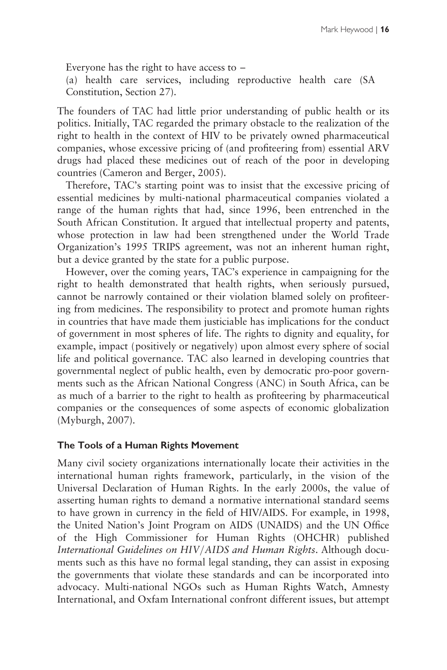Everyone has the right to have access to –

(a) health care services, including reproductive health care (SA Constitution, Section 27).

The founders of TAC had little prior understanding of public health or its politics. Initially, TAC regarded the primary obstacle to the realization of the right to health in the context of HIV to be privately owned pharmaceutical companies, whose excessive pricing of (and profiteering from) essential ARV drugs had placed these medicines out of reach of the poor in developing countries (Cameron and Berger, 2005).

Therefore, TAC's starting point was to insist that the excessive pricing of essential medicines by multi-national pharmaceutical companies violated a range of the human rights that had, since 1996, been entrenched in the South African Constitution. It argued that intellectual property and patents, whose protection in law had been strengthened under the World Trade Organization's 1995 TRIPS agreement, was not an inherent human right, but a device granted by the state for a public purpose.

However, over the coming years, TAC's experience in campaigning for the right to health demonstrated that health rights, when seriously pursued, cannot be narrowly contained or their violation blamed solely on profiteering from medicines. The responsibility to protect and promote human rights in countries that have made them justiciable has implications for the conduct of government in most spheres of life. The rights to dignity and equality, for example, impact (positively or negatively) upon almost every sphere of social life and political governance. TAC also learned in developing countries that governmental neglect of public health, even by democratic pro-poor governments such as the African National Congress (ANC) in South Africa, can be as much of a barrier to the right to health as profiteering by pharmaceutical companies or the consequences of some aspects of economic globalization (Myburgh, 2007).

# The Tools of a Human Rights Movement

Many civil society organizations internationally locate their activities in the international human rights framework, particularly, in the vision of the Universal Declaration of Human Rights. In the early 2000s, the value of asserting human rights to demand a normative international standard seems to have grown in currency in the field of HIV/AIDS. For example, in 1998, the United Nation's Joint Program on AIDS (UNAIDS) and the UN Office of the High Commissioner for Human Rights (OHCHR) published International Guidelines on HIV/AIDS and Human Rights. Although documents such as this have no formal legal standing, they can assist in exposing the governments that violate these standards and can be incorporated into advocacy. Multi-national NGOs such as Human Rights Watch, Amnesty International, and Oxfam International confront different issues, but attempt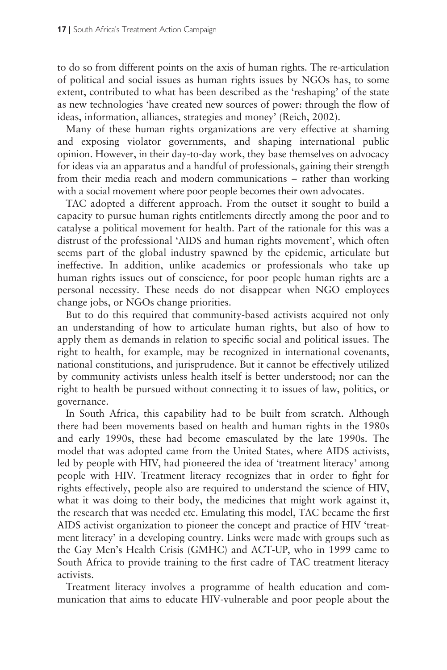to do so from different points on the axis of human rights. The re-articulation of political and social issues as human rights issues by NGOs has, to some extent, contributed to what has been described as the 'reshaping' of the state as new technologies 'have created new sources of power: through the flow of ideas, information, alliances, strategies and money' (Reich, 2002).

Many of these human rights organizations are very effective at shaming and exposing violator governments, and shaping international public opinion. However, in their day-to-day work, they base themselves on advocacy for ideas via an apparatus and a handful of professionals, gaining their strength from their media reach and modern communications – rather than working with a social movement where poor people becomes their own advocates.

TAC adopted a different approach. From the outset it sought to build a capacity to pursue human rights entitlements directly among the poor and to catalyse a political movement for health. Part of the rationale for this was a distrust of the professional 'AIDS and human rights movement', which often seems part of the global industry spawned by the epidemic, articulate but ineffective. In addition, unlike academics or professionals who take up human rights issues out of conscience, for poor people human rights are a personal necessity. These needs do not disappear when NGO employees change jobs, or NGOs change priorities.

But to do this required that community-based activists acquired not only an understanding of how to articulate human rights, but also of how to apply them as demands in relation to specific social and political issues. The right to health, for example, may be recognized in international covenants, national constitutions, and jurisprudence. But it cannot be effectively utilized by community activists unless health itself is better understood; nor can the right to health be pursued without connecting it to issues of law, politics, or governance.

In South Africa, this capability had to be built from scratch. Although there had been movements based on health and human rights in the 1980s and early 1990s, these had become emasculated by the late 1990s. The model that was adopted came from the United States, where AIDS activists, led by people with HIV, had pioneered the idea of 'treatment literacy' among people with HIV. Treatment literacy recognizes that in order to fight for rights effectively, people also are required to understand the science of HIV, what it was doing to their body, the medicines that might work against it, the research that was needed etc. Emulating this model, TAC became the first AIDS activist organization to pioneer the concept and practice of HIV 'treatment literacy' in a developing country. Links were made with groups such as the Gay Men's Health Crisis (GMHC) and ACT-UP, who in 1999 came to South Africa to provide training to the first cadre of TAC treatment literacy activists.

Treatment literacy involves a programme of health education and communication that aims to educate HIV-vulnerable and poor people about the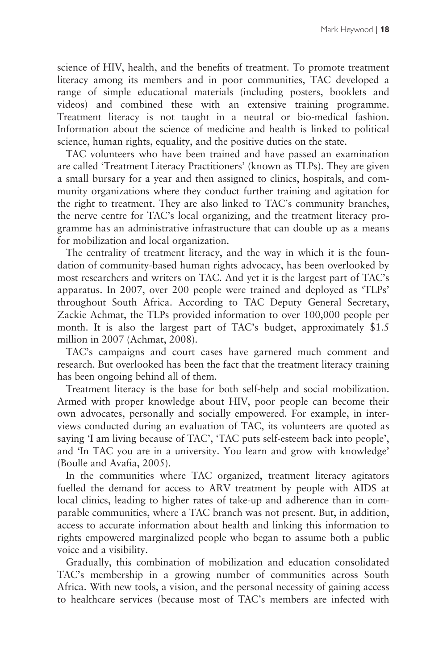science of HIV, health, and the benefits of treatment. To promote treatment literacy among its members and in poor communities, TAC developed a range of simple educational materials (including posters, booklets and videos) and combined these with an extensive training programme. Treatment literacy is not taught in a neutral or bio-medical fashion. Information about the science of medicine and health is linked to political science, human rights, equality, and the positive duties on the state.

TAC volunteers who have been trained and have passed an examination are called 'Treatment Literacy Practitioners' (known as TLPs). They are given a small bursary for a year and then assigned to clinics, hospitals, and community organizations where they conduct further training and agitation for the right to treatment. They are also linked to TAC's community branches, the nerve centre for TAC's local organizing, and the treatment literacy programme has an administrative infrastructure that can double up as a means for mobilization and local organization.

The centrality of treatment literacy, and the way in which it is the foundation of community-based human rights advocacy, has been overlooked by most researchers and writers on TAC. And yet it is the largest part of TAC's apparatus. In 2007, over 200 people were trained and deployed as 'TLPs' throughout South Africa. According to TAC Deputy General Secretary, Zackie Achmat, the TLPs provided information to over 100,000 people per month. It is also the largest part of TAC's budget, approximately \$1.5 million in 2007 (Achmat, 2008).

TAC's campaigns and court cases have garnered much comment and research. But overlooked has been the fact that the treatment literacy training has been ongoing behind all of them.

Treatment literacy is the base for both self-help and social mobilization. Armed with proper knowledge about HIV, poor people can become their own advocates, personally and socially empowered. For example, in interviews conducted during an evaluation of TAC, its volunteers are quoted as saying 'I am living because of TAC', 'TAC puts self-esteem back into people', and 'In TAC you are in a university. You learn and grow with knowledge' (Boulle and Avafia, 2005).

In the communities where TAC organized, treatment literacy agitators fuelled the demand for access to ARV treatment by people with AIDS at local clinics, leading to higher rates of take-up and adherence than in comparable communities, where a TAC branch was not present. But, in addition, access to accurate information about health and linking this information to rights empowered marginalized people who began to assume both a public voice and a visibility.

Gradually, this combination of mobilization and education consolidated TAC's membership in a growing number of communities across South Africa. With new tools, a vision, and the personal necessity of gaining access to healthcare services (because most of TAC's members are infected with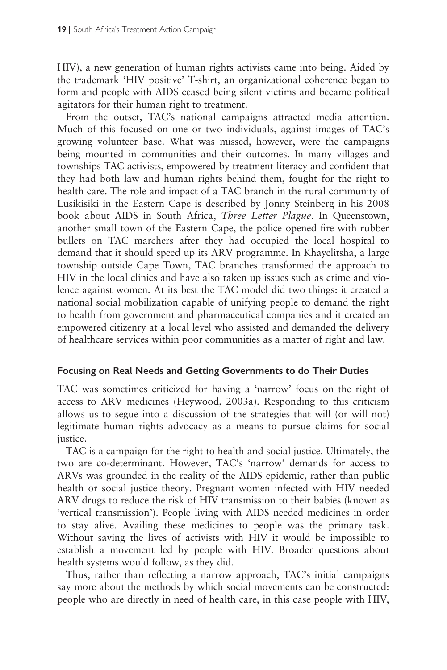HIV), a new generation of human rights activists came into being. Aided by the trademark 'HIV positive' T-shirt, an organizational coherence began to form and people with AIDS ceased being silent victims and became political agitators for their human right to treatment.

From the outset, TAC's national campaigns attracted media attention. Much of this focused on one or two individuals, against images of TAC's growing volunteer base. What was missed, however, were the campaigns being mounted in communities and their outcomes. In many villages and townships TAC activists, empowered by treatment literacy and confident that they had both law and human rights behind them, fought for the right to health care. The role and impact of a TAC branch in the rural community of Lusikisiki in the Eastern Cape is described by Jonny Steinberg in his 2008 book about AIDS in South Africa, Three Letter Plague. In Queenstown, another small town of the Eastern Cape, the police opened fire with rubber bullets on TAC marchers after they had occupied the local hospital to demand that it should speed up its ARV programme. In Khayelitsha, a large township outside Cape Town, TAC branches transformed the approach to HIV in the local clinics and have also taken up issues such as crime and violence against women. At its best the TAC model did two things: it created a national social mobilization capable of unifying people to demand the right to health from government and pharmaceutical companies and it created an empowered citizenry at a local level who assisted and demanded the delivery of healthcare services within poor communities as a matter of right and law.

## Focusing on Real Needs and Getting Governments to do Their Duties

TAC was sometimes criticized for having a 'narrow' focus on the right of access to ARV medicines (Heywood, 2003a). Responding to this criticism allows us to segue into a discussion of the strategies that will (or will not) legitimate human rights advocacy as a means to pursue claims for social justice.

TAC is a campaign for the right to health and social justice. Ultimately, the two are co-determinant. However, TAC's 'narrow' demands for access to ARVs was grounded in the reality of the AIDS epidemic, rather than public health or social justice theory. Pregnant women infected with HIV needed ARV drugs to reduce the risk of HIV transmission to their babies (known as 'vertical transmission'). People living with AIDS needed medicines in order to stay alive. Availing these medicines to people was the primary task. Without saving the lives of activists with HIV it would be impossible to establish a movement led by people with HIV. Broader questions about health systems would follow, as they did.

Thus, rather than reflecting a narrow approach, TAC's initial campaigns say more about the methods by which social movements can be constructed: people who are directly in need of health care, in this case people with HIV,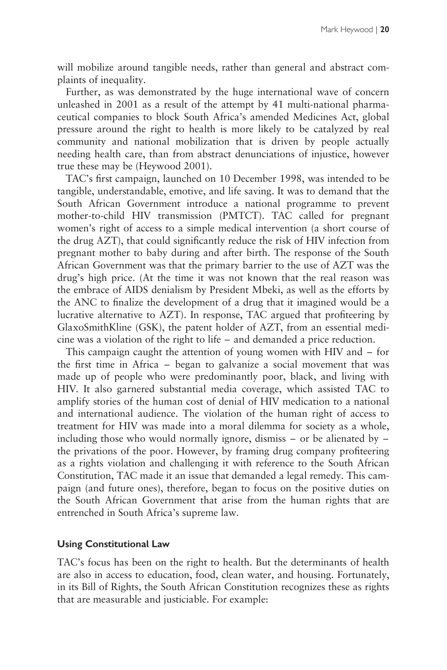will mobilize around tangible needs, rather than general and abstract complaints of inequality.

Further, as was demonstrated by the huge international wave of concern unleashed in 2001 as a result of the attempt by 41 multi-national pharmaceutical companies to block South Africa's amended Medicines Act, global pressure around the right to health is more likely to be catalyzed by real community and national mobilization that is driven by people actually needing health care, than from abstract denunciations of injustice, however true these may be (Heywood 2001).

TAC's first campaign, launched on 10 December 1998, was intended to be tangible, understandable, emotive, and life saving. It was to demand that the South African Government introduce a national programme to prevent mother-to-child HIV transmission (PMTCT). TAC called for pregnant women's right of access to a simple medical intervention (a short course of the drug AZT), that could significantly reduce the risk of HIV infection from pregnant mother to baby during and after birth. The response of the South African Government was that the primary barrier to the use of AZT was the drug's high price. (At the time it was not known that the real reason was the embrace of AIDS denialism by President Mbeki, as well as the efforts by the ANC to finalize the development of a drug that it imagined would be a lucrative alternative to AZT). In response, TAC argued that profiteering by GlaxoSmithKline (GSK), the patent holder of AZT, from an essential medicine was a violation of the right to life – and demanded a price reduction.

This campaign caught the attention of young women with HIV and – for the first time in Africa – began to galvanize a social movement that was made up of people who were predominantly poor, black, and living with HIV. It also garnered substantial media coverage, which assisted TAC to amplify stories of the human cost of denial of HIV medication to a national and international audience. The violation of the human right of access to treatment for HIV was made into a moral dilemma for society as a whole, including those who would normally ignore, dismiss – or be alienated by – the privations of the poor. However, by framing drug company profiteering as a rights violation and challenging it with reference to the South African Constitution, TAC made it an issue that demanded a legal remedy. This campaign (and future ones), therefore, began to focus on the positive duties on the South African Government that arise from the human rights that are entrenched in South Africa's supreme law.

## Using Constitutional Law

TAC's focus has been on the right to health. But the determinants of health are also in access to education, food, clean water, and housing. Fortunately, in its Bill of Rights, the South African Constitution recognizes these as rights that are measurable and justiciable. For example: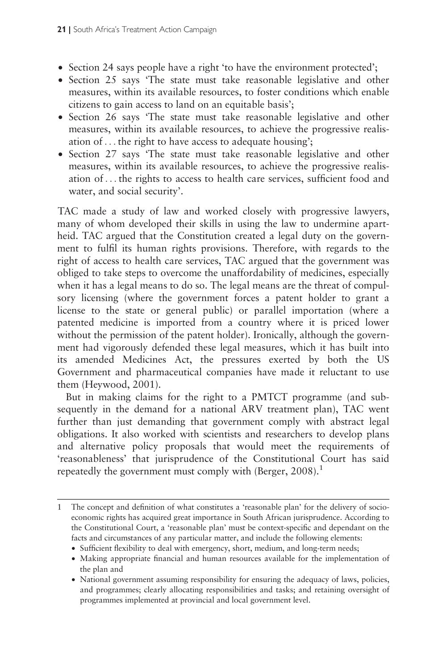- Section 24 says people have a right 'to have the environment protected';
- † Section 25 says 'The state must take reasonable legislative and other measures, within its available resources, to foster conditions which enable citizens to gain access to land on an equitable basis';
- Section 26 says 'The state must take reasonable legislative and other measures, within its available resources, to achieve the progressive realisation of ... the right to have access to adequate housing';
- Section 27 says 'The state must take reasonable legislative and other measures, within its available resources, to achieve the progressive realisation of ... the rights to access to health care services, sufficient food and water, and social security'.

TAC made a study of law and worked closely with progressive lawyers, many of whom developed their skills in using the law to undermine apartheid. TAC argued that the Constitution created a legal duty on the government to fulfil its human rights provisions. Therefore, with regards to the right of access to health care services, TAC argued that the government was obliged to take steps to overcome the unaffordability of medicines, especially when it has a legal means to do so. The legal means are the threat of compulsory licensing (where the government forces a patent holder to grant a license to the state or general public) or parallel importation (where a patented medicine is imported from a country where it is priced lower without the permission of the patent holder). Ironically, although the government had vigorously defended these legal measures, which it has built into its amended Medicines Act, the pressures exerted by both the US Government and pharmaceutical companies have made it reluctant to use them (Heywood, 2001).

But in making claims for the right to a PMTCT programme (and subsequently in the demand for a national ARV treatment plan), TAC went further than just demanding that government comply with abstract legal obligations. It also worked with scientists and researchers to develop plans and alternative policy proposals that would meet the requirements of 'reasonableness' that jurisprudence of the Constitutional Court has said repeatedly the government must comply with (Berger, 2008).<sup>1</sup>

<sup>1</sup> The concept and definition of what constitutes a 'reasonable plan' for the delivery of socioeconomic rights has acquired great importance in South African jurisprudence. According to the Constitutional Court, a 'reasonable plan' must be context-specific and dependant on the facts and circumstances of any particular matter, and include the following elements:

<sup>†</sup> Sufficient flexibility to deal with emergency, short, medium, and long-term needs;

<sup>†</sup> Making appropriate financial and human resources available for the implementation of the plan and

<sup>†</sup> National government assuming responsibility for ensuring the adequacy of laws, policies, and programmes; clearly allocating responsibilities and tasks; and retaining oversight of programmes implemented at provincial and local government level.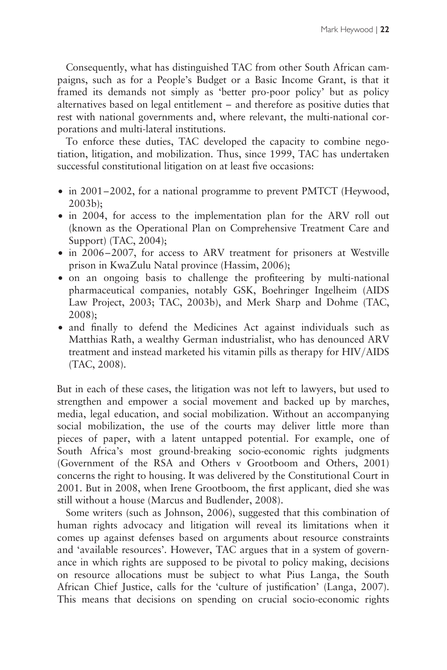Consequently, what has distinguished TAC from other South African campaigns, such as for a People's Budget or a Basic Income Grant, is that it framed its demands not simply as 'better pro-poor policy' but as policy alternatives based on legal entitlement – and therefore as positive duties that rest with national governments and, where relevant, the multi-national corporations and multi-lateral institutions.

To enforce these duties, TAC developed the capacity to combine negotiation, litigation, and mobilization. Thus, since 1999, TAC has undertaken successful constitutional litigation on at least five occasions:

- $\bullet$  in 2001–2002, for a national programme to prevent PMTCT (Heywood, 2003b);
- in 2004, for access to the implementation plan for the ARV roll out (known as the Operational Plan on Comprehensive Treatment Care and Support) (TAC, 2004);
- in 2006-2007, for access to ARV treatment for prisoners at Westville prison in KwaZulu Natal province (Hassim, 2006);
- on an ongoing basis to challenge the profiteering by multi-national pharmaceutical companies, notably GSK, Boehringer Ingelheim (AIDS Law Project, 2003; TAC, 2003b), and Merk Sharp and Dohme (TAC, 2008);
- and finally to defend the Medicines Act against individuals such as Matthias Rath, a wealthy German industrialist, who has denounced ARV treatment and instead marketed his vitamin pills as therapy for HIV/AIDS (TAC, 2008).

But in each of these cases, the litigation was not left to lawyers, but used to strengthen and empower a social movement and backed up by marches, media, legal education, and social mobilization. Without an accompanying social mobilization, the use of the courts may deliver little more than pieces of paper, with a latent untapped potential. For example, one of South Africa's most ground-breaking socio-economic rights judgments (Government of the RSA and Others v Grootboom and Others, 2001) concerns the right to housing. It was delivered by the Constitutional Court in 2001. But in 2008, when Irene Grootboom, the first applicant, died she was still without a house (Marcus and Budlender, 2008).

Some writers (such as Johnson, 2006), suggested that this combination of human rights advocacy and litigation will reveal its limitations when it comes up against defenses based on arguments about resource constraints and 'available resources'. However, TAC argues that in a system of governance in which rights are supposed to be pivotal to policy making, decisions on resource allocations must be subject to what Pius Langa, the South African Chief Justice, calls for the 'culture of justification' (Langa, 2007). This means that decisions on spending on crucial socio-economic rights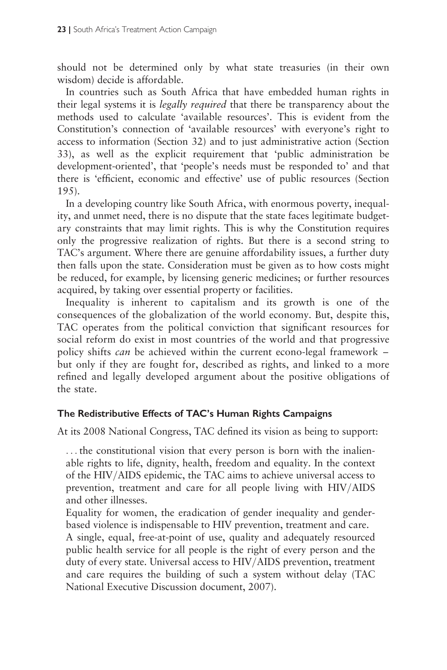should not be determined only by what state treasuries (in their own wisdom) decide is affordable.

In countries such as South Africa that have embedded human rights in their legal systems it is *legally required* that there be transparency about the methods used to calculate 'available resources'. This is evident from the Constitution's connection of 'available resources' with everyone's right to access to information (Section 32) and to just administrative action (Section 33), as well as the explicit requirement that 'public administration be development-oriented', that 'people's needs must be responded to' and that there is 'efficient, economic and effective' use of public resources (Section 195).

In a developing country like South Africa, with enormous poverty, inequality, and unmet need, there is no dispute that the state faces legitimate budgetary constraints that may limit rights. This is why the Constitution requires only the progressive realization of rights. But there is a second string to TAC's argument. Where there are genuine affordability issues, a further duty then falls upon the state. Consideration must be given as to how costs might be reduced, for example, by licensing generic medicines; or further resources acquired, by taking over essential property or facilities.

Inequality is inherent to capitalism and its growth is one of the consequences of the globalization of the world economy. But, despite this, TAC operates from the political conviction that significant resources for social reform do exist in most countries of the world and that progressive policy shifts can be achieved within the current econo-legal framework – but only if they are fought for, described as rights, and linked to a more refined and legally developed argument about the positive obligations of the state.

# The Redistributive Effects of TAC's Human Rights Campaigns

At its 2008 National Congress, TAC defined its vision as being to support:

... the constitutional vision that every person is born with the inalienable rights to life, dignity, health, freedom and equality. In the context of the HIV/AIDS epidemic, the TAC aims to achieve universal access to prevention, treatment and care for all people living with HIV/AIDS and other illnesses.

Equality for women, the eradication of gender inequality and genderbased violence is indispensable to HIV prevention, treatment and care.

A single, equal, free-at-point of use, quality and adequately resourced public health service for all people is the right of every person and the duty of every state. Universal access to HIV/AIDS prevention, treatment and care requires the building of such a system without delay (TAC National Executive Discussion document, 2007).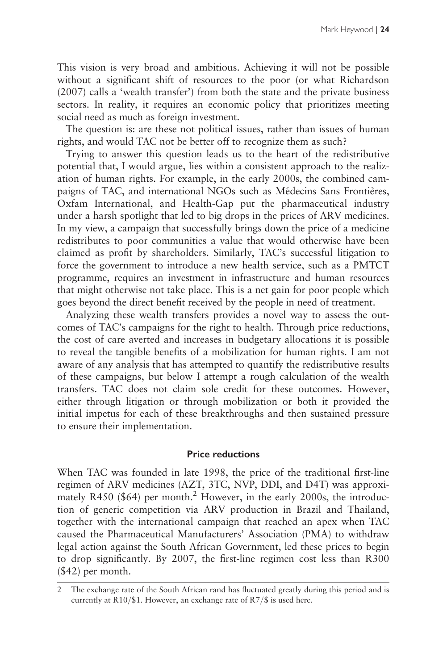This vision is very broad and ambitious. Achieving it will not be possible without a significant shift of resources to the poor (or what Richardson (2007) calls a 'wealth transfer') from both the state and the private business sectors. In reality, it requires an economic policy that prioritizes meeting social need as much as foreign investment.

The question is: are these not political issues, rather than issues of human rights, and would TAC not be better off to recognize them as such?

Trying to answer this question leads us to the heart of the redistributive potential that, I would argue, lies within a consistent approach to the realization of human rights. For example, in the early 2000s, the combined campaigns of TAC, and international NGOs such as Médecins Sans Frontières, Oxfam International, and Health-Gap put the pharmaceutical industry under a harsh spotlight that led to big drops in the prices of ARV medicines. In my view, a campaign that successfully brings down the price of a medicine redistributes to poor communities a value that would otherwise have been claimed as profit by shareholders. Similarly, TAC's successful litigation to force the government to introduce a new health service, such as a PMTCT programme, requires an investment in infrastructure and human resources that might otherwise not take place. This is a net gain for poor people which goes beyond the direct benefit received by the people in need of treatment.

Analyzing these wealth transfers provides a novel way to assess the outcomes of TAC's campaigns for the right to health. Through price reductions, the cost of care averted and increases in budgetary allocations it is possible to reveal the tangible benefits of a mobilization for human rights. I am not aware of any analysis that has attempted to quantify the redistributive results of these campaigns, but below I attempt a rough calculation of the wealth transfers. TAC does not claim sole credit for these outcomes. However, either through litigation or through mobilization or both it provided the initial impetus for each of these breakthroughs and then sustained pressure to ensure their implementation.

#### Price reductions

When TAC was founded in late 1998, the price of the traditional first-line regimen of ARV medicines (AZT, 3TC, NVP, DDI, and D4T) was approximately R450 (\$64) per month.<sup>2</sup> However, in the early 2000s, the introduction of generic competition via ARV production in Brazil and Thailand, together with the international campaign that reached an apex when TAC caused the Pharmaceutical Manufacturers' Association (PMA) to withdraw legal action against the South African Government, led these prices to begin to drop significantly. By 2007, the first-line regimen cost less than R300 (\$42) per month.

<sup>2</sup> The exchange rate of the South African rand has fluctuated greatly during this period and is currently at R10/\$1. However, an exchange rate of R7/\$ is used here.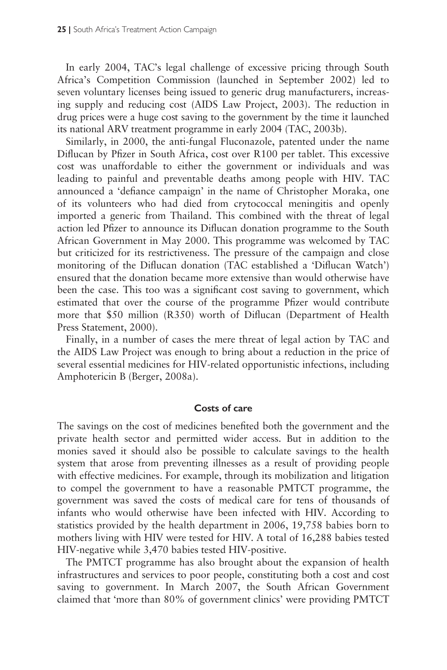In early 2004, TAC's legal challenge of excessive pricing through South Africa's Competition Commission (launched in September 2002) led to seven voluntary licenses being issued to generic drug manufacturers, increasing supply and reducing cost (AIDS Law Project, 2003). The reduction in drug prices were a huge cost saving to the government by the time it launched its national ARV treatment programme in early 2004 (TAC, 2003b).

Similarly, in 2000, the anti-fungal Fluconazole, patented under the name Diflucan by Pfizer in South Africa, cost over R100 per tablet. This excessive cost was unaffordable to either the government or individuals and was leading to painful and preventable deaths among people with HIV. TAC announced a 'defiance campaign' in the name of Christopher Moraka, one of its volunteers who had died from crytococcal meningitis and openly imported a generic from Thailand. This combined with the threat of legal action led Pfizer to announce its Diflucan donation programme to the South African Government in May 2000. This programme was welcomed by TAC but criticized for its restrictiveness. The pressure of the campaign and close monitoring of the Diflucan donation (TAC established a 'Diflucan Watch') ensured that the donation became more extensive than would otherwise have been the case. This too was a significant cost saving to government, which estimated that over the course of the programme Pfizer would contribute more that \$50 million (R350) worth of Diflucan (Department of Health Press Statement, 2000).

Finally, in a number of cases the mere threat of legal action by TAC and the AIDS Law Project was enough to bring about a reduction in the price of several essential medicines for HIV-related opportunistic infections, including Amphotericin B (Berger, 2008a).

#### Costs of care

The savings on the cost of medicines benefited both the government and the private health sector and permitted wider access. But in addition to the monies saved it should also be possible to calculate savings to the health system that arose from preventing illnesses as a result of providing people with effective medicines. For example, through its mobilization and litigation to compel the government to have a reasonable PMTCT programme, the government was saved the costs of medical care for tens of thousands of infants who would otherwise have been infected with HIV. According to statistics provided by the health department in 2006, 19,758 babies born to mothers living with HIV were tested for HIV. A total of 16,288 babies tested HIV-negative while 3,470 babies tested HIV-positive.

The PMTCT programme has also brought about the expansion of health infrastructures and services to poor people, constituting both a cost and cost saving to government. In March 2007, the South African Government claimed that 'more than 80% of government clinics' were providing PMTCT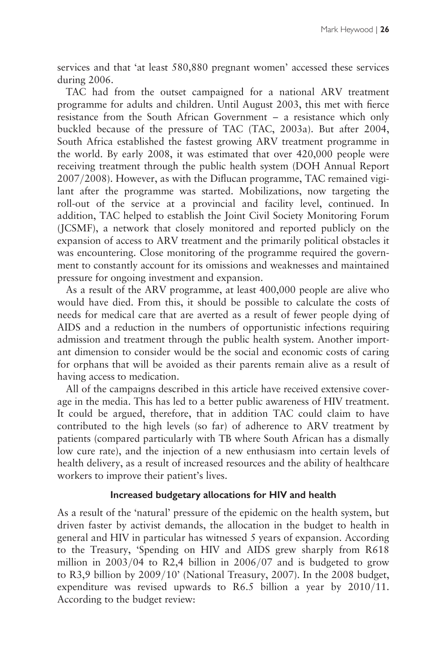services and that 'at least 580,880 pregnant women' accessed these services during 2006.

TAC had from the outset campaigned for a national ARV treatment programme for adults and children. Until August 2003, this met with fierce resistance from the South African Government – a resistance which only buckled because of the pressure of TAC (TAC, 2003a). But after 2004, South Africa established the fastest growing ARV treatment programme in the world. By early 2008, it was estimated that over 420,000 people were receiving treatment through the public health system (DOH Annual Report 2007/2008). However, as with the Diflucan programme, TAC remained vigilant after the programme was started. Mobilizations, now targeting the roll-out of the service at a provincial and facility level, continued. In addition, TAC helped to establish the Joint Civil Society Monitoring Forum (JCSMF), a network that closely monitored and reported publicly on the expansion of access to ARV treatment and the primarily political obstacles it was encountering. Close monitoring of the programme required the government to constantly account for its omissions and weaknesses and maintained pressure for ongoing investment and expansion.

As a result of the ARV programme, at least 400,000 people are alive who would have died. From this, it should be possible to calculate the costs of needs for medical care that are averted as a result of fewer people dying of AIDS and a reduction in the numbers of opportunistic infections requiring admission and treatment through the public health system. Another important dimension to consider would be the social and economic costs of caring for orphans that will be avoided as their parents remain alive as a result of having access to medication.

All of the campaigns described in this article have received extensive coverage in the media. This has led to a better public awareness of HIV treatment. It could be argued, therefore, that in addition TAC could claim to have contributed to the high levels (so far) of adherence to ARV treatment by patients (compared particularly with TB where South African has a dismally low cure rate), and the injection of a new enthusiasm into certain levels of health delivery, as a result of increased resources and the ability of healthcare workers to improve their patient's lives.

## Increased budgetary allocations for HIV and health

As a result of the 'natural' pressure of the epidemic on the health system, but driven faster by activist demands, the allocation in the budget to health in general and HIV in particular has witnessed 5 years of expansion. According to the Treasury, 'Spending on HIV and AIDS grew sharply from R618 million in 2003/04 to R2,4 billion in 2006/07 and is budgeted to grow to R3,9 billion by 2009/10' (National Treasury, 2007). In the 2008 budget, expenditure was revised upwards to R6.5 billion a year by 2010/11. According to the budget review: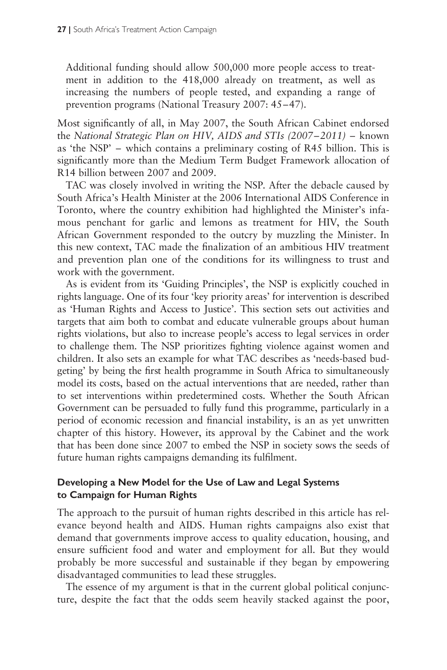Additional funding should allow 500,000 more people access to treatment in addition to the 418,000 already on treatment, as well as increasing the numbers of people tested, and expanding a range of prevention programs (National Treasury 2007: 45 –47).

Most significantly of all, in May 2007, the South African Cabinet endorsed the National Strategic Plan on HIV, AIDS and STIs (2007 –2011) – known as 'the NSP' – which contains a preliminary costing of R45 billion. This is significantly more than the Medium Term Budget Framework allocation of R14 billion between 2007 and 2009.

TAC was closely involved in writing the NSP. After the debacle caused by South Africa's Health Minister at the 2006 International AIDS Conference in Toronto, where the country exhibition had highlighted the Minister's infamous penchant for garlic and lemons as treatment for HIV, the South African Government responded to the outcry by muzzling the Minister. In this new context, TAC made the finalization of an ambitious HIV treatment and prevention plan one of the conditions for its willingness to trust and work with the government.

As is evident from its 'Guiding Principles', the NSP is explicitly couched in rights language. One of its four 'key priority areas' for intervention is described as 'Human Rights and Access to Justice'. This section sets out activities and targets that aim both to combat and educate vulnerable groups about human rights violations, but also to increase people's access to legal services in order to challenge them. The NSP prioritizes fighting violence against women and children. It also sets an example for what TAC describes as 'needs-based budgeting' by being the first health programme in South Africa to simultaneously model its costs, based on the actual interventions that are needed, rather than to set interventions within predetermined costs. Whether the South African Government can be persuaded to fully fund this programme, particularly in a period of economic recession and financial instability, is an as yet unwritten chapter of this history. However, its approval by the Cabinet and the work that has been done since 2007 to embed the NSP in society sows the seeds of future human rights campaigns demanding its fulfilment.

# Developing a New Model for the Use of Law and Legal Systems to Campaign for Human Rights

The approach to the pursuit of human rights described in this article has relevance beyond health and AIDS. Human rights campaigns also exist that demand that governments improve access to quality education, housing, and ensure sufficient food and water and employment for all. But they would probably be more successful and sustainable if they began by empowering disadvantaged communities to lead these struggles.

The essence of my argument is that in the current global political conjuncture, despite the fact that the odds seem heavily stacked against the poor,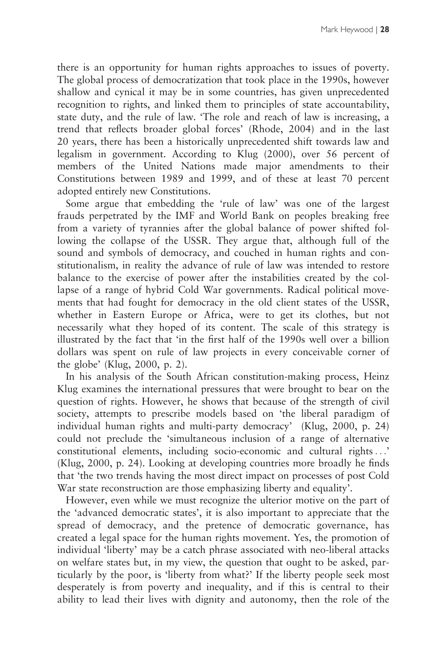there is an opportunity for human rights approaches to issues of poverty. The global process of democratization that took place in the 1990s, however shallow and cynical it may be in some countries, has given unprecedented recognition to rights, and linked them to principles of state accountability, state duty, and the rule of law. 'The role and reach of law is increasing, a trend that reflects broader global forces' (Rhode, 2004) and in the last 20 years, there has been a historically unprecedented shift towards law and legalism in government. According to Klug (2000), over 56 percent of members of the United Nations made major amendments to their Constitutions between 1989 and 1999, and of these at least 70 percent adopted entirely new Constitutions.

Some argue that embedding the 'rule of law' was one of the largest frauds perpetrated by the IMF and World Bank on peoples breaking free from a variety of tyrannies after the global balance of power shifted following the collapse of the USSR. They argue that, although full of the sound and symbols of democracy, and couched in human rights and constitutionalism, in reality the advance of rule of law was intended to restore balance to the exercise of power after the instabilities created by the collapse of a range of hybrid Cold War governments. Radical political movements that had fought for democracy in the old client states of the USSR, whether in Eastern Europe or Africa, were to get its clothes, but not necessarily what they hoped of its content. The scale of this strategy is illustrated by the fact that 'in the first half of the 1990s well over a billion dollars was spent on rule of law projects in every conceivable corner of the globe' (Klug, 2000, p. 2).

In his analysis of the South African constitution-making process, Heinz Klug examines the international pressures that were brought to bear on the question of rights. However, he shows that because of the strength of civil society, attempts to prescribe models based on 'the liberal paradigm of individual human rights and multi-party democracy' (Klug, 2000, p. 24) could not preclude the 'simultaneous inclusion of a range of alternative constitutional elements, including socio-economic and cultural rights ...' (Klug, 2000, p. 24). Looking at developing countries more broadly he finds that 'the two trends having the most direct impact on processes of post Cold War state reconstruction are those emphasizing liberty and equality'.

However, even while we must recognize the ulterior motive on the part of the 'advanced democratic states', it is also important to appreciate that the spread of democracy, and the pretence of democratic governance, has created a legal space for the human rights movement. Yes, the promotion of individual 'liberty' may be a catch phrase associated with neo-liberal attacks on welfare states but, in my view, the question that ought to be asked, particularly by the poor, is 'liberty from what?' If the liberty people seek most desperately is from poverty and inequality, and if this is central to their ability to lead their lives with dignity and autonomy, then the role of the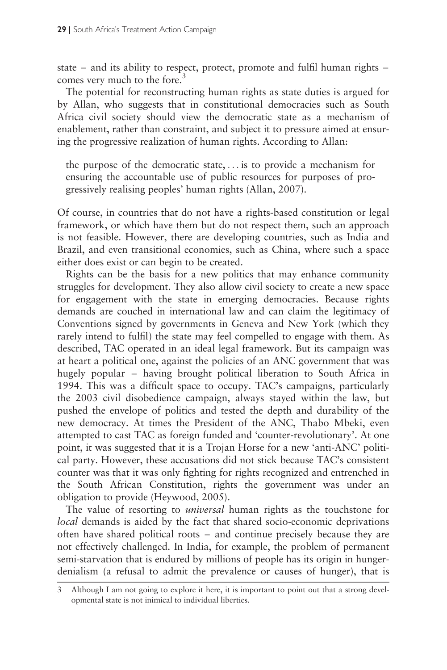state – and its ability to respect, protect, promote and fulfil human rights – comes very much to the fore.<sup>3</sup>

The potential for reconstructing human rights as state duties is argued for by Allan, who suggests that in constitutional democracies such as South Africa civil society should view the democratic state as a mechanism of enablement, rather than constraint, and subject it to pressure aimed at ensuring the progressive realization of human rights. According to Allan:

the purpose of the democratic state, ... is to provide a mechanism for ensuring the accountable use of public resources for purposes of progressively realising peoples' human rights (Allan, 2007).

Of course, in countries that do not have a rights-based constitution or legal framework, or which have them but do not respect them, such an approach is not feasible. However, there are developing countries, such as India and Brazil, and even transitional economies, such as China, where such a space either does exist or can begin to be created.

Rights can be the basis for a new politics that may enhance community struggles for development. They also allow civil society to create a new space for engagement with the state in emerging democracies. Because rights demands are couched in international law and can claim the legitimacy of Conventions signed by governments in Geneva and New York (which they rarely intend to fulfil) the state may feel compelled to engage with them. As described, TAC operated in an ideal legal framework. But its campaign was at heart a political one, against the policies of an ANC government that was hugely popular – having brought political liberation to South Africa in 1994. This was a difficult space to occupy. TAC's campaigns, particularly the 2003 civil disobedience campaign, always stayed within the law, but pushed the envelope of politics and tested the depth and durability of the new democracy. At times the President of the ANC, Thabo Mbeki, even attempted to cast TAC as foreign funded and 'counter-revolutionary'. At one point, it was suggested that it is a Trojan Horse for a new 'anti-ANC' political party. However, these accusations did not stick because TAC's consistent counter was that it was only fighting for rights recognized and entrenched in the South African Constitution, rights the government was under an obligation to provide (Heywood, 2005).

The value of resorting to *universal* human rights as the touchstone for local demands is aided by the fact that shared socio-economic deprivations often have shared political roots – and continue precisely because they are not effectively challenged. In India, for example, the problem of permanent semi-starvation that is endured by millions of people has its origin in hungerdenialism (a refusal to admit the prevalence or causes of hunger), that is

<sup>3</sup> Although I am not going to explore it here, it is important to point out that a strong developmental state is not inimical to individual liberties.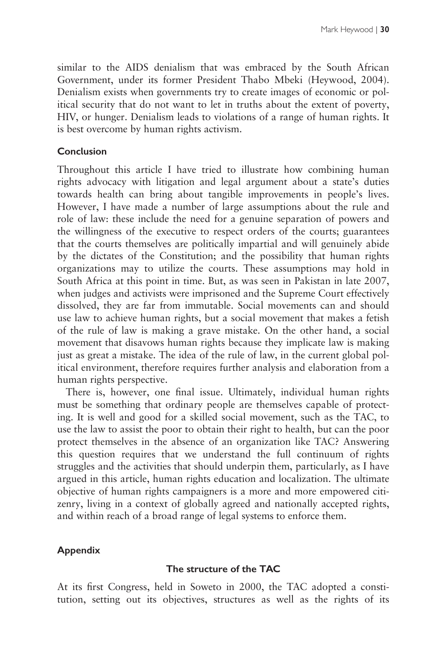similar to the AIDS denialism that was embraced by the South African Government, under its former President Thabo Mbeki (Heywood, 2004). Denialism exists when governments try to create images of economic or political security that do not want to let in truths about the extent of poverty, HIV, or hunger. Denialism leads to violations of a range of human rights. It is best overcome by human rights activism.

### Conclusion

Throughout this article I have tried to illustrate how combining human rights advocacy with litigation and legal argument about a state's duties towards health can bring about tangible improvements in people's lives. However, I have made a number of large assumptions about the rule and role of law: these include the need for a genuine separation of powers and the willingness of the executive to respect orders of the courts; guarantees that the courts themselves are politically impartial and will genuinely abide by the dictates of the Constitution; and the possibility that human rights organizations may to utilize the courts. These assumptions may hold in South Africa at this point in time. But, as was seen in Pakistan in late 2007, when judges and activists were imprisoned and the Supreme Court effectively dissolved, they are far from immutable. Social movements can and should use law to achieve human rights, but a social movement that makes a fetish of the rule of law is making a grave mistake. On the other hand, a social movement that disavows human rights because they implicate law is making just as great a mistake. The idea of the rule of law, in the current global political environment, therefore requires further analysis and elaboration from a human rights perspective.

There is, however, one final issue. Ultimately, individual human rights must be something that ordinary people are themselves capable of protecting. It is well and good for a skilled social movement, such as the TAC, to use the law to assist the poor to obtain their right to health, but can the poor protect themselves in the absence of an organization like TAC? Answering this question requires that we understand the full continuum of rights struggles and the activities that should underpin them, particularly, as I have argued in this article, human rights education and localization. The ultimate objective of human rights campaigners is a more and more empowered citizenry, living in a context of globally agreed and nationally accepted rights, and within reach of a broad range of legal systems to enforce them.

#### Appendix

#### The structure of the TAC

At its first Congress, held in Soweto in 2000, the TAC adopted a constitution, setting out its objectives, structures as well as the rights of its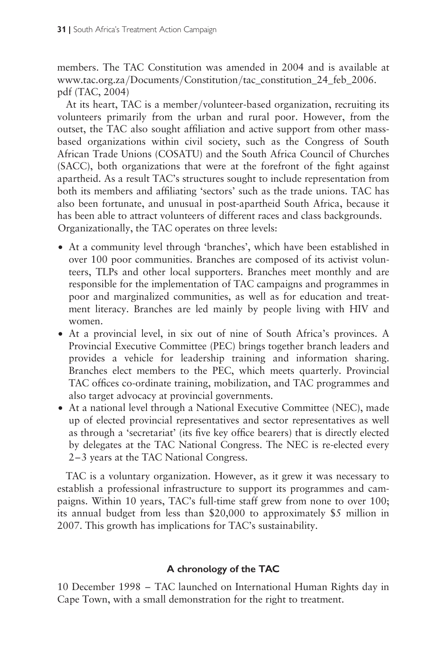members. The TAC Constitution was amended in 2004 and is available at www.tac.org.za/Documents/Constitution/tac\_constitution\_24\_feb\_2006. pdf (TAC, 2004)

At its heart, TAC is a member/volunteer-based organization, recruiting its volunteers primarily from the urban and rural poor. However, from the outset, the TAC also sought affiliation and active support from other massbased organizations within civil society, such as the Congress of South African Trade Unions (COSATU) and the South Africa Council of Churches (SACC), both organizations that were at the forefront of the fight against apartheid. As a result TAC's structures sought to include representation from both its members and affiliating 'sectors' such as the trade unions. TAC has also been fortunate, and unusual in post-apartheid South Africa, because it has been able to attract volunteers of different races and class backgrounds. Organizationally, the TAC operates on three levels:

- At a community level through 'branches', which have been established in over 100 poor communities. Branches are composed of its activist volunteers, TLPs and other local supporters. Branches meet monthly and are responsible for the implementation of TAC campaigns and programmes in poor and marginalized communities, as well as for education and treatment literacy. Branches are led mainly by people living with HIV and women.
- At a provincial level, in six out of nine of South Africa's provinces. A Provincial Executive Committee (PEC) brings together branch leaders and provides a vehicle for leadership training and information sharing. Branches elect members to the PEC, which meets quarterly. Provincial TAC offices co-ordinate training, mobilization, and TAC programmes and also target advocacy at provincial governments.
- At a national level through a National Executive Committee (NEC), made up of elected provincial representatives and sector representatives as well as through a 'secretariat' (its five key office bearers) that is directly elected by delegates at the TAC National Congress. The NEC is re-elected every 2 –3 years at the TAC National Congress.

TAC is a voluntary organization. However, as it grew it was necessary to establish a professional infrastructure to support its programmes and campaigns. Within 10 years, TAC's full-time staff grew from none to over 100; its annual budget from less than \$20,000 to approximately \$5 million in 2007. This growth has implications for TAC's sustainability.

# A chronology of the TAC

10 December 1998 – TAC launched on International Human Rights day in Cape Town, with a small demonstration for the right to treatment.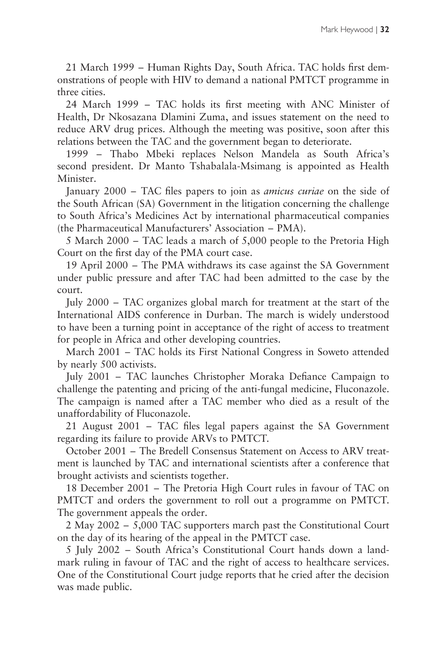21 March 1999 – Human Rights Day, South Africa. TAC holds first demonstrations of people with HIV to demand a national PMTCT programme in three cities.

24 March 1999 – TAC holds its first meeting with ANC Minister of Health, Dr Nkosazana Dlamini Zuma, and issues statement on the need to reduce ARV drug prices. Although the meeting was positive, soon after this relations between the TAC and the government began to deteriorate.

1999 – Thabo Mbeki replaces Nelson Mandela as South Africa's second president. Dr Manto Tshabalala-Msimang is appointed as Health Minister.

January 2000 – TAC files papers to join as amicus curiae on the side of the South African (SA) Government in the litigation concerning the challenge to South Africa's Medicines Act by international pharmaceutical companies (the Pharmaceutical Manufacturers' Association – PMA).

5 March 2000 – TAC leads a march of 5,000 people to the Pretoria High Court on the first day of the PMA court case.

19 April 2000 – The PMA withdraws its case against the SA Government under public pressure and after TAC had been admitted to the case by the court.

July 2000 – TAC organizes global march for treatment at the start of the International AIDS conference in Durban. The march is widely understood to have been a turning point in acceptance of the right of access to treatment for people in Africa and other developing countries.

March 2001 – TAC holds its First National Congress in Soweto attended by nearly 500 activists.

July 2001 – TAC launches Christopher Moraka Defiance Campaign to challenge the patenting and pricing of the anti-fungal medicine, Fluconazole. The campaign is named after a TAC member who died as a result of the unaffordability of Fluconazole.

21 August 2001 – TAC files legal papers against the SA Government regarding its failure to provide ARVs to PMTCT.

October 2001 – The Bredell Consensus Statement on Access to ARV treatment is launched by TAC and international scientists after a conference that brought activists and scientists together.

18 December 2001 – The Pretoria High Court rules in favour of TAC on PMTCT and orders the government to roll out a programme on PMTCT. The government appeals the order.

2 May 2002 – 5,000 TAC supporters march past the Constitutional Court on the day of its hearing of the appeal in the PMTCT case.

5 July 2002 – South Africa's Constitutional Court hands down a landmark ruling in favour of TAC and the right of access to healthcare services. One of the Constitutional Court judge reports that he cried after the decision was made public.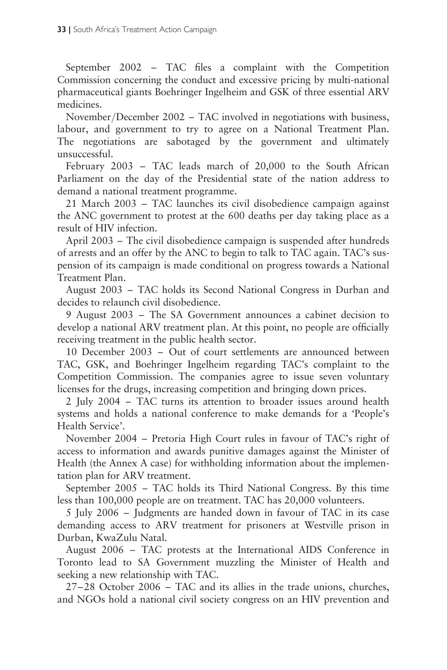September 2002 – TAC files a complaint with the Competition Commission concerning the conduct and excessive pricing by multi-national pharmaceutical giants Boehringer Ingelheim and GSK of three essential ARV medicines.

November/December 2002 – TAC involved in negotiations with business, labour, and government to try to agree on a National Treatment Plan. The negotiations are sabotaged by the government and ultimately unsuccessful.

February 2003 – TAC leads march of 20,000 to the South African Parliament on the day of the Presidential state of the nation address to demand a national treatment programme.

21 March 2003 – TAC launches its civil disobedience campaign against the ANC government to protest at the 600 deaths per day taking place as a result of HIV infection.

April 2003 – The civil disobedience campaign is suspended after hundreds of arrests and an offer by the ANC to begin to talk to TAC again. TAC's suspension of its campaign is made conditional on progress towards a National Treatment Plan.

August 2003 – TAC holds its Second National Congress in Durban and decides to relaunch civil disobedience.

9 August 2003 – The SA Government announces a cabinet decision to develop a national ARV treatment plan. At this point, no people are officially receiving treatment in the public health sector.

10 December 2003 – Out of court settlements are announced between TAC, GSK, and Boehringer Ingelheim regarding TAC's complaint to the Competition Commission. The companies agree to issue seven voluntary licenses for the drugs, increasing competition and bringing down prices.

2 July 2004 – TAC turns its attention to broader issues around health systems and holds a national conference to make demands for a 'People's Health Service'.

November 2004 – Pretoria High Court rules in favour of TAC's right of access to information and awards punitive damages against the Minister of Health (the Annex A case) for withholding information about the implementation plan for ARV treatment.

September 2005 – TAC holds its Third National Congress. By this time less than 100,000 people are on treatment. TAC has 20,000 volunteers.

5 July 2006 – Judgments are handed down in favour of TAC in its case demanding access to ARV treatment for prisoners at Westville prison in Durban, KwaZulu Natal.

August 2006 – TAC protests at the International AIDS Conference in Toronto lead to SA Government muzzling the Minister of Health and seeking a new relationship with TAC.

27 –28 October 2006 – TAC and its allies in the trade unions, churches, and NGOs hold a national civil society congress on an HIV prevention and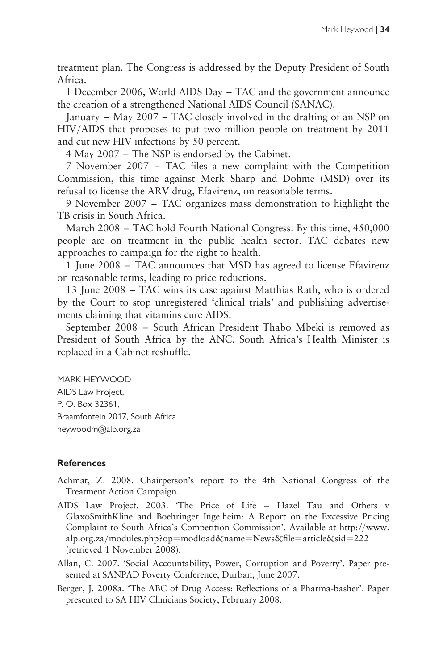treatment plan. The Congress is addressed by the Deputy President of South Africa.

1 December 2006, World AIDS Day – TAC and the government announce the creation of a strengthened National AIDS Council (SANAC).

January – May 2007 – TAC closely involved in the drafting of an NSP on HIV/AIDS that proposes to put two million people on treatment by 2011 and cut new HIV infections by 50 percent.

4 May 2007 – The NSP is endorsed by the Cabinet.

7 November 2007 – TAC files a new complaint with the Competition Commission, this time against Merk Sharp and Dohme (MSD) over its refusal to license the ARV drug, Efavirenz, on reasonable terms.

9 November 2007 – TAC organizes mass demonstration to highlight the TB crisis in South Africa.

March 2008 – TAC hold Fourth National Congress. By this time, 450,000 people are on treatment in the public health sector. TAC debates new approaches to campaign for the right to health.

1 June 2008 – TAC announces that MSD has agreed to license Efavirenz on reasonable terms, leading to price reductions.

13 June 2008 – TAC wins its case against Matthias Rath, who is ordered by the Court to stop unregistered 'clinical trials' and publishing advertisements claiming that vitamins cure AIDS.

September 2008 – South African President Thabo Mbeki is removed as President of South Africa by the ANC. South Africa's Health Minister is replaced in a Cabinet reshuffle.

MARK HEYWOOD AIDS Law Project, P. O. Box 32361, Braamfontein 2017, South Africa heywoodm@alp.org.za

#### **References**

Achmat, Z. 2008. Chairperson's report to the 4th National Congress of the Treatment Action Campaign.

- AIDS Law Project. 2003. 'The Price of Life Hazel Tau and Others v GlaxoSmithKline and Boehringer Ingelheim: A Report on the Excessive Pricing Complaint to South Africa's Competition Commission'. Available at http://www. alp.org.za/modules.php?op=modload&name=News&file=article&sid=222 (retrieved 1 November 2008).
- Allan, C. 2007. 'Social Accountability, Power, Corruption and Poverty'. Paper presented at SANPAD Poverty Conference, Durban, June 2007.
- Berger, J. 2008a. 'The ABC of Drug Access: Reflections of a Pharma-basher'. Paper presented to SA HIV Clinicians Society, February 2008.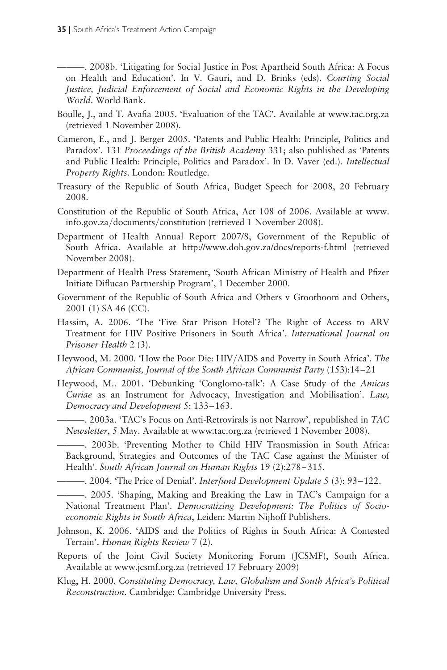———. 2008b. 'Litigating for Social Justice in Post Apartheid South Africa: A Focus on Health and Education'. In V. Gauri, and D. Brinks (eds). Courting Social Justice, Judicial Enforcement of Social and Economic Rights in the Developing World. World Bank.

- Boulle, J., and T. Avafia 2005. 'Evaluation of the TAC'. Available at www.tac.org.za (retrieved 1 November 2008).
- Cameron, E., and J. Berger 2005. 'Patents and Public Health: Principle, Politics and Paradox'. 131 Proceedings of the British Academy 331; also published as 'Patents and Public Health: Principle, Politics and Paradox'. In D. Vaver (ed.). Intellectual Property Rights. London: Routledge.
- Treasury of the Republic of South Africa, Budget Speech for 2008, 20 February 2008.
- Constitution of the Republic of South Africa, Act 108 of 2006. Available at www. info.gov.za/documents/constitution (retrieved 1 November 2008).
- Department of Health Annual Report 2007/8, Government of the Republic of South Africa. Available at http://www.doh.gov.za/docs/reports-f.html (retrieved November 2008).
- Department of Health Press Statement, 'South African Ministry of Health and Pfizer Initiate Diflucan Partnership Program', 1 December 2000.
- Government of the Republic of South Africa and Others v Grootboom and Others, 2001 (1) SA 46 (CC).
- Hassim, A. 2006. 'The 'Five Star Prison Hotel'? The Right of Access to ARV Treatment for HIV Positive Prisoners in South Africa'. International Journal on Prisoner Health 2 (3).
- Heywood, M. 2000. 'How the Poor Die: HIV/AIDS and Poverty in South Africa'. The African Communist, Journal of the South African Communist Party (153):14–21
- Heywood, M.. 2001. 'Debunking 'Conglomo-talk': A Case Study of the Amicus Curiae as an Instrument for Advocacy, Investigation and Mobilisation'. Law, Democracy and Development 5: 133 –163.
	- ———. 2003a. 'TAC's Focus on Anti-Retrovirals is not Narrow', republished in TAC Newsletter, 5 May. Available at www.tac.org.za (retrieved 1 November 2008).
	- ———. 2003b. 'Preventing Mother to Child HIV Transmission in South Africa: Background, Strategies and Outcomes of the TAC Case against the Minister of Health'. South African Journal on Human Rights 19 (2):278-315.
	- ——. 2004. 'The Price of Denial'. Interfund Development Update 5 (3): 93–122.

———. 2005. 'Shaping, Making and Breaking the Law in TAC's Campaign for a National Treatment Plan'. Democratizing Development: The Politics of Socioeconomic Rights in South Africa, Leiden: Martin Nijhoff Publishers.

- Johnson, K. 2006. 'AIDS and the Politics of Rights in South Africa: A Contested Terrain'. Human Rights Review 7 (2).
- Reports of the Joint Civil Society Monitoring Forum (JCSMF), South Africa. Available at www.jcsmf.org.za (retrieved 17 February 2009)
- Klug, H. 2000. Constituting Democracy, Law, Globalism and South Africa's Political Reconstruction. Cambridge: Cambridge University Press.